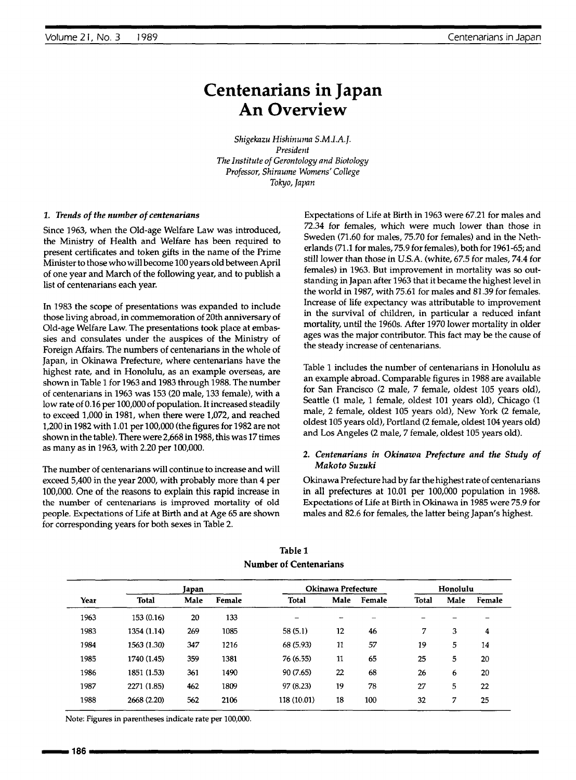# **Centenarians in Japan An Overview**

*Shigekazu Hishinuma S.M.I.A.J. President The Institute of Gerontology and Biotology Professor, Shiraume Womens' College Tokyo, Japan*

#### *1. Trends of the number of centenarians*

Since 1963, when the Old-age Welfare Law was introduced, the Ministry of Health and Welfare has been required to present certificates and token gifts in the name of the Prime Minister to those who will become 100 years old between April of one year and March of the following year, and to publish a list of centenarians each year.

In 1983 the scope of presentations was expanded to include those living abroad, in commemoration of 20th anniversary of Old-age Welfare Law. The presentations took place at embassies and consulates under the auspices of the Ministry of Foreign Affairs. The numbers of centenarians in the whole of Japan, in Okinawa Prefecture, where centenarians have the highest rate, and in Honolulu, as an example overseas, are shown in Table I for 1963 and 1983 through 1988. The number of centenarians in 1963 was 153 (20 male, 133 female), with a low rate of 0.16 per 100,000 of population. It increased steadily to exceed 1,000 in 1981, when there were 1,072, and reached 1,200 in 1982 with 1.01 per 100,000 (the figures for 1982 are not shown in the table). There were 2,668 in 1988, this was 17 times as many as in 1963, with 2.20 per 100,000.

The number of centenarians will continue to increase and will exceed 5,400 in the year 2000, with probably more than 4 per 100,000. One of the reasons to explain this rapid increase in the number of centenarians is improved mortality of old people. Expectations of Life at Birth and at Age 65 are shown for corresponding years for both sexes in Table 2.

Expectations of Life at Birth in 1963 were 67.21 for males and *72.34* for females, which were much lower than those in Sweden (71.60 for males, 75.70 for females) and in the Netherlands (71.1 for males, 75.9 for females), both for 1961-65; and still lower than those in U.S.A. (white, 67.5 for males, 74.4 for females) in 1963. But improvement in mortality was so outstanding in Japan after 1963 that it became the highest level in the world in 1987, with *75.61* for males and 81.39 for females. Increase of life expectancy was attributable to improvement in the survival of children, in particular a reduced infant mortality, until the 1960s. After 1970 lower mortality in older ages was the major contributor. This fact may be the cause of the steady increase of centenarians.

Table 1 includes the number of centenarians in Honolulu as an example abroad. Comparable figures in 1988 are available for San Francisco (2 male, 7 female, oldest 105 years old), Seattle (1 male, 1 female, oldest 101 years old), Chicago (1 male, 2 female, oldest 105 years old), New York (2 female, oldest 105 years old), Portland (2 female, oldest I04 years old) and Los Angeles (2 male, 7 female, oldest 105 years old).

### *2. Centenarians in Okinawa Prefecture and the Study of Makoto Suzuki*

Okinawa Prefecture had by far the highest rate of centenarians in all prefectures at 10.01 per 100,000 population in 1988. Expectations of Life at Birth in Okinawa in 1985 were 75.9 for males and 82.6 for females, the latter being Japan's highest.

|      |              | Japan |        | Okinawa Prefecture |         |        | Honolulu     |      |        |
|------|--------------|-------|--------|--------------------|---------|--------|--------------|------|--------|
| Year | <b>Total</b> | Male  | Female | Total              | Male    | Female | <b>Total</b> | Male | Female |
| 1963 | 153 (0.16)   | 20    | 133    |                    |         |        |              |      |        |
| 1983 | 1354 (1.14)  | 269   | 1085   | 58(5.1)            | $12 \,$ | 46     | 7            | 3    | 4      |
| 1984 | 1563 (1.30)  | 347   | 1216   | 68 (5.93)          | 11      | 57     | 19           | 5    | 14     |
| 1985 | 1740 (1.45)  | 359   | 1381   | 76 (6.55)          | 11      | 65     | 25           | 5    | 20     |
| 1986 | 1851 (1.53)  | 361   | 1490   | 90 (7.65)          | 22      | 68     | 26           | 6    | 20     |
| 1987 | 2271 (1.85)  | 462   | 1809   | 97 (8.23)          | 19      | 78     | 27           | 5    | 22     |
| 1988 | 2668 (2.20)  | 562   | 2106   | 118 (10.01)        | 18      | 100    | 32           | 7    | 25     |

**Table** 1 **Number of Centenarians**

Note: Figures in parentheses indicate rate per 100,000.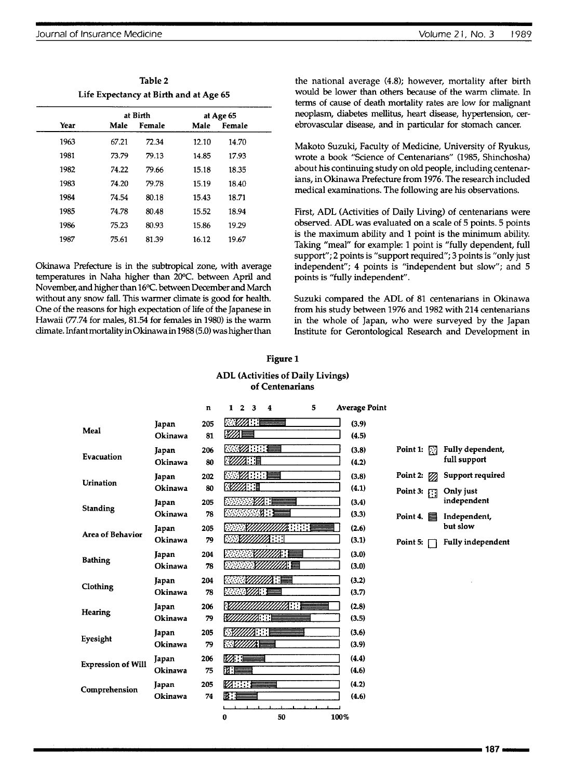| Volume 21, No. 3 | 1989 |
|------------------|------|
|------------------|------|

| Table 2                                |
|----------------------------------------|
| Life Expectancy at Birth and at Age 65 |

|      |       | at Birth |       | at Age 65 |  |
|------|-------|----------|-------|-----------|--|
| Year | Male  | Female   | Male  | Female    |  |
| 1963 | 67.21 | 72.34    | 12.10 | 14.70     |  |
| 1981 | 73.79 | 79.13    | 14.85 | 17.93     |  |
| 1982 | 74.22 | 79.66    | 15.18 | 18.35     |  |
| 1983 | 74.20 | 79.78    | 15.19 | 18.40     |  |
| 1984 | 74.54 | 80.18    | 15.43 | 18.71     |  |
| 1985 | 74.78 | 80.48    | 15.52 | 18.94     |  |
| 1986 | 75.23 | 80.93    | 15.86 | 19.29     |  |
| 1987 | 75.61 | 81.39    | 16.12 | 19.67     |  |

Okinawa Prefecture is in the subtropical zone, with average temperatures in Naha higher than 20°C. between April and November, and higher than 16°C. between December and March without any snow fall. This warmer climate is good for health. One of the reasons for high expectation of life of the Japanese in Hawaii (77.74 for males, 81.54 for females in 1980) is the warm climate. Infant mortality in Okinawa in 1988 (5.0) was higher than

the national average (4.8); however, mortality after birth would be lower than others because of the warm climate. In terms of cause of death mortality rates are low for malignant neoplasm, diabetes mellitus, heart disease, hypertension, cerebrovascular disease, and in particular for stomach cancer.

Makoto Suzuki, Faculty of Medicine, University of Ryukus, wrote a book "Science of Centenarians" (1985, Shinchosha) about his continuing study on old people, including centenarians, in Okinawa Prefecture from 1976. The research included medical examinations. The following are his observations.

First, ADL (Activities of Daily Living) of centenarians were observed. ADL was evaluated on a scale of 5 points. 5 points is the maximum ability and 1 point is the minimum ability. Taking "meal" for example: 1 point is "fully dependent, full support"; 2 points is "support required"; 3 points is "only just independent"; 4 points is "independent but slow"; and 5 points is "fully independent".

Suzuki compared the ADL of 81 centenarians in Okinawa from his study between 1976 and 1982 with 214 centenarians in the whole of Japan, who were surveyed by the Japan Institute for Gerontological Research and Development in

### Figure 1

#### ADL **(Activities of Daily** Livings) **of Centenarians**

|                           |         | n   | $\mathbf{1}$           | $\overline{2}$ | $\mathbf{3}$     | $\overline{4}$                          |        | 5 |      | <b>Average Point</b> |                       |                 |                          |
|---------------------------|---------|-----|------------------------|----------------|------------------|-----------------------------------------|--------|---|------|----------------------|-----------------------|-----------------|--------------------------|
|                           | Japan   | 205 |                        |                | l <i>∵va</i> t∵E |                                         |        |   |      | (3.9)                |                       |                 |                          |
| Meal                      | Okinawa | 81  | $\mathbb{Z}$           |                |                  |                                         |        |   |      | (4.5)                |                       |                 |                          |
| Evacuation                | Japan   | 206 |                        |                | 感受力的手            |                                         |        |   |      | (3.8)                | Point 1: $\Box$       |                 | Fully dependent,         |
|                           | Okinawa | 80  |                        |                | r <i>wa</i> r e  |                                         |        |   |      | (4.2)                |                       |                 | full support             |
| <b>Urination</b>          | Japan   | 202 |                        |                |                  | <b>1990 - 1990 - 1990 - 1990 - 1990</b> |        |   |      | (3.8)                | Point 2: $\mathbb{Z}$ |                 | Support required         |
|                           | Okinawa | 80  | <b>RZZZEL</b>          |                |                  |                                         |        |   |      | (4.1)                |                       | Point 3: $\Box$ | Only just                |
| <b>Standing</b>           | Japan   | 205 |                        |                |                  |                                         |        |   |      | (3.4)                |                       |                 | independent              |
|                           | Okinawa | 78  |                        |                |                  | .u 1                                    |        |   |      | (3.3)                | Point 4. $\equiv$     |                 | Independent,             |
| <b>Area of Behavior</b>   | Japan   | 205 |                        |                |                  |                                         | 1888 B |   |      | (2.6)                |                       |                 | but slow                 |
|                           | Okinawa | 79  |                        |                |                  | <i>MIIII</i> A                          |        |   |      | (3.1)                | Point 5: $\Box$       |                 | <b>Fully independent</b> |
| <b>Bathing</b>            | Japan   | 204 |                        |                |                  |                                         |        |   |      | (3.0)                |                       |                 |                          |
|                           | Okinawa | 78  |                        |                |                  | . .                                     |        |   |      | (3.0)                |                       |                 |                          |
| Clothing                  | Japan   | 204 |                        |                |                  |                                         |        |   |      | (3.2)                |                       |                 |                          |
|                           | Okinawa | 78  |                        |                | r yw f           |                                         |        |   |      | (3.7)                |                       |                 |                          |
| <b>Hearing</b>            | Japan   | 206 |                        |                |                  |                                         |        |   |      | (2.8)                |                       |                 |                          |
|                           | Okinawa | 79  | 122                    |                |                  |                                         |        |   |      | (3.5)                |                       |                 |                          |
| Eyesight                  | Japan   | 205 |                        |                | 21: : : i E      |                                         |        |   |      | (3.6)                |                       |                 |                          |
|                           | Okinawa | 79  | \` <i>``\//////</i> // |                |                  |                                         |        |   |      | (3.9)                |                       |                 |                          |
| <b>Expression of Will</b> | Japan   | 206 |                        |                | 12 E S           |                                         |        |   |      | (4.4)                |                       |                 |                          |
|                           | Okinawa | 75  | $\mathfrak{n}$ $=$     |                |                  |                                         |        |   |      | (4.6)                |                       |                 |                          |
| Comprehension             | Japan   | 205 | 12 H =                 |                |                  |                                         |        |   |      | (4.2)                |                       |                 |                          |
|                           | Okinawa | 74  | 田主                     |                |                  |                                         |        |   |      | (4.6)                |                       |                 |                          |
|                           |         |     | 0                      |                |                  | 50                                      |        |   | 100% |                      |                       |                 |                          |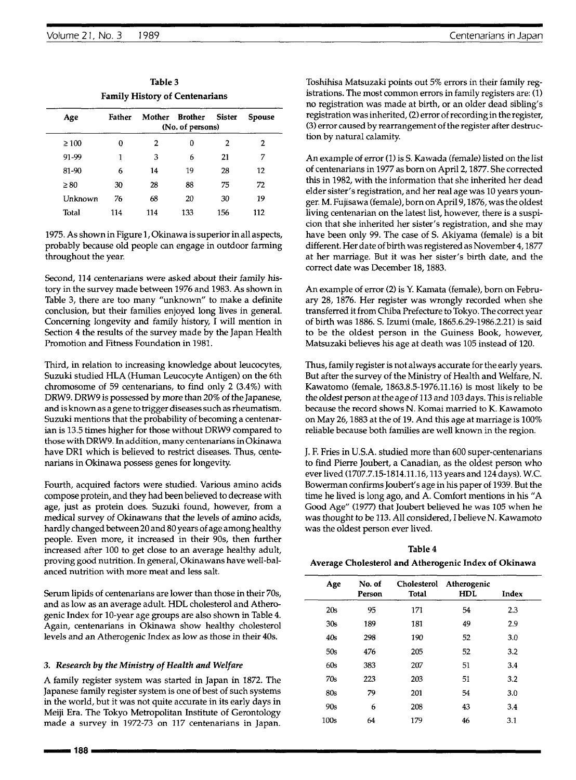| Family History of Centenarians |        |        |                             |               |        |  |  |
|--------------------------------|--------|--------|-----------------------------|---------------|--------|--|--|
| Age                            | Father | Mother | Brother<br>(No. of persons) | <b>Sister</b> | Spouse |  |  |
| $\geq 100$                     | 0      | 2      | 0                           | 2             | 2      |  |  |
| 91-99                          | 1      | 3      | 6                           | 21            | 7      |  |  |
| 81-90                          | 6      | 14     | 19                          | 28            | 12     |  |  |
| $\geq 80$                      | 30     | 28     | 88                          | 75            | 72     |  |  |
| Unknown                        | 76     | 68     | 20                          | 30            | 19     |  |  |
| Total                          | 114    | 114    | 133                         | 156           | 112    |  |  |

**Table 3 Family History of Centenarians**

1975. As shown in Figure 1, Okinawa is superior in all aspects, probably because old people can engage in outdoor farming throughout the year.

Second, 114 centenarians were asked about their family history in the survey made between 1976 and 1983. As shown in Table 3, there are too many "unknown" to make a definite conclusion, but their families enjoyed long lives in general. Concerning longevity and family history, I will mention in Section 4 the results of the survey made by the Japan Health Promotion and Fitness Foundation in 1981.

Third, in relation to increasing knowledge about leucocytes, Suzuki studied HLA (Human Leucocyte Antigen) on the 6th chromosome of 59 centenarians, to find only 2 (3.4%) with DRW9. DRW9 is possessed by more than *20%* of the Japanese, and is known as a gene to trigger diseases such as rheumatism. Suzuki mentions that the probability of becoming a centenarian is 13.5 times higher for those without DRW9 compared to those with DRW9. In addition, many centenarians in Okinawa have DR1 which is believed to restrict diseases. Thus, centenarians in Okinawa possess genes for longevity.

Fourth, acquired factors were studied. Various amino acids compose protein, and they had been believed to decrease with age, just as protein does. Suzuki found, however, from a medical survey of Okinawans that the levels of amino acids, hardly changed between 20 and 80 years of age among healthy people. Even more, it increased in their 90s, then further increased after 100 to get close to an average healthy adult, proving good nutrition. In general, Okinawans have well-balanced nutrition with more meat and less salt.

Serum lipids of centenarians are lower than those in their 70s, and as low as an average adult. HDL cholesterol and Atherogenic Index for 10-year age groups are also shown in Table 4. Again, centenarians in Okinawa show healthy cholesterol levels and an Atherogenic Index as low as those in their 40s.

## *3. Research by the Ministry of Health and Welfare*

A family register system was started in Japan in 1872. The Japanese family register system is one of best of such systems in the world, but it was not quite accurate in its early days in Meiji Era. The Tokyo Metropolitan Institute of Gerontology made a survey in 1972-73 on 117 centenarians in Japan.

Toshihisa Matsuzaki points out 5% errors in their family registrations. The most common errors in family registers are: (1) no registration was made at birth, or an older dead sibling's registration was inherited, (2) error of recording in the register, (3) error caused by rearrangement of the register after destruction by natural calamity.

An example of error (1) is S. Kawada (female) listed on the list of centenarians in 1977 as born on April 2, 1877. She corrected this in 1982, with the information that she inherited her dead elder sister's registration, and her real age was 10 years younger. M. Fujisawa (female), born on April 9,1876, was the oldest living centenarian on the latest list, however, there is a suspicion that she inherited her sister's registration, and she may have been only 99. The case of S. Akiyama (female) is a bit different. Her date of birth was registered as November 4,1877 at her marriage. But it was her sister's birth date, and the correct date was December 18, 1883.

An example of error (2) is Y. Kamata (female), born on February 28, 1876. Her register was wrongly recorded when she transferred it from Chiba Prefecture to Tokyo. The correct year of birth was 1886. S. Izumi (male, 1865.6.29-1986.2.21) is said to be the oldest person in the Guiness Book, however, Matsuzaki believes his age at death was 105 instead of 120.

Thus, family register is not always accurate for the early years. But after the survey of the Ministry of Health and Welfare, N. Kawatomo (female, 1863.8.5-1976.11.16) is most likely to be the oldest person at the age of 113 and 103 days. This is reliable because the record shows N. Komai married to K. Kawamoto on May 26, 1883 at the of 19. And this age at marriage is 100% reliable because both families are well known in the region.

J. F. Fries in U.S.A. studied more than 600 super-centenarians to find Pierre Joubert, a Canadian, as the oldest person who ever lived (1707.7.15-1814.11.16,113 years and 124 days). W.C. Bowerman confirms Joubert's age in his paper of 1939. But the time he lived is long ago, and A. Comfort mentions in his "A Good Age" (1977) that Joubert believed he was 105 when he was thought to be 113. All considered, I believe N. Kawamoto was the oldest person ever lived.

**Table 4 Average Cholesterol and Atherogenic Index of Okinawa**

| Age             | No. of<br>Person | <b>Cholesterol</b><br>Total | Atherogenic<br><b>HDL</b> | Index |
|-----------------|------------------|-----------------------------|---------------------------|-------|
| 20s             | 95               | 171                         | 54                        | 2.3   |
| 30 <sub>s</sub> | 189              | 181                         | 49                        | 2.9   |
| 40s             | 298              | 190                         | 52                        | 3.0   |
| 50s             | 476              | 205                         | 52                        | 3.2   |
| 60s             | 383              | 207                         | 51                        | 3.4   |
| 70s             | 223              | 203                         | 51                        | 3.2   |
| 80s             | 79               | 201                         | 54                        | 3.0   |
| 90s             | 6                | 208                         | 43                        | 3.4   |
| 100s            | 64               | 179                         | 46                        | 3.1   |
|                 |                  |                             |                           |       |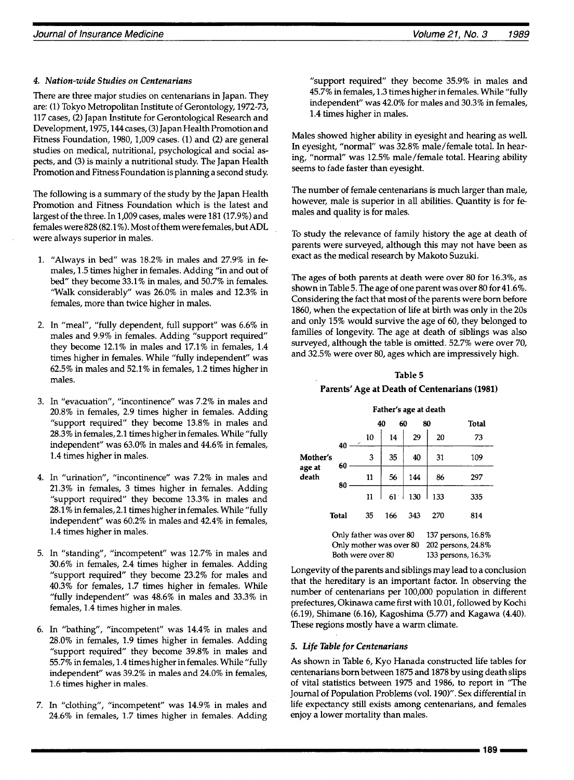## *4. Nation-wide Studies on Centenarians*

There are three major studies on centenarians in Japan. They are: (1) Tokyo Metropolitan Institute of Gerontology, 1972-73, 117 cases, (2) Japan Institute for Gerontological Research and Development, 1975,144 cases, (3) Japan Health Promotion and Fitness Foundation, 1980, 1,009 cases. (1) and (2) are general studies on medical, nutritional, psychological and social aspects, and (3) is mainly a nutritional study. The Japan Health Promotion and Fitness Foundation is planning a second study.

The following is a summary of the study by the Japan Health Promotion and Fitness Foundation which is the latest and largest of the three. In 1,009 cases, males were 181 (17.9%) and females were 828 (82.1%). Most of them were females, but ADL were always superior in males.

- 1. "Always in bed" was 18.2% in males and 27.9% in females, 1.5 times higher in females. Adding *"in* and out of bed" they become 33.1% in males, and 50.7% in females. "Walk considerably" was 26.0% in males and 12.3% in females, more than twice higher in males.
- 2. In "meal", "fully dependent, full support" was 6.6% in males and 9.9% in females. Adding "support required" they become 12.1% in males and 17.1% in females, 1.4 times higher in females. While "fully independent" was 62.5% in males and 52.1% in females, 1.2 times higher in males.
- In "evacuation", "incontinence" was 7.2% in males and 20.8% in females, 2.9 times higher in females. Adding "support required" they become 13.8% in males and 28.3% in females, 2.1 times higher in females. While "fully independent" was 63.0% in males and 44.6% in females, 1.4 times higher in males.
- In "urination", "incontinence" was 7.2% in males and 21.3% in females, 3 times higher in females. Adding "support required" they become 13.3% in males and 28.1% in females, 2.1 times higher in females. While "fully independent" was 60.2% in males and 42.4% in females, 1.4 times higher in males.
- In "standing", "incompetent" was 12.7% in males and 30.6% in females, 2.4 times higher in females. Adding "support required" they become 23.2% for males and 40.3% for females, 1.7 times higher in females. While "fully independent" was 48.6% in males and 33.3% in females, 1.4 times higher in males.
- In "bathing", "incompetent" was 14.4% in males and 28.0% in females, 1.9 times higher in females. Adding "support required" they become 39.8% in males and 55.7% in females, 1.4 times higher in females. While "fully independent" was 39.2% in males and 24.0% in females, 1.6 times higher in males.
- 7. In "clothing", "incompetent" was 14.9% in males and 24.6% in females, 1.7 times higher in females. Adding

"support required" they become 35.9% in males and 45.7% in females, 1.3 times higher in females. While "fully independent" was 42.0% for males and 30.3% in females, 1.4 times higher in males.

Males showed higher ability in eyesight and hearing as well. In eyesight, "normal" was 32.8% male/female total. In hearing, "normal" was 12.5% male/female total. Hearing ability seems to fade faster than eyesight.

The number of female centenarians is much larger than male, however, male is superior in all abilities. Quantity is for females and quality is for males.

To study the relevance of family history the age at death of parents were surveyed, although this may not have been as exact as the medical research by Makoto Suzuki.

The ages of both parents at death were over 80 for 16.3%, as shown in Table 5. The age of one parent was over 80 for 41.6%. Considering the fact that most of the parents were born before 1860, when the expectation of life at birth was only in the 20s and only 15% would survive the age of 60, they belonged to families of longevity. The age at death of siblings was also surveyed, although the table is omitted. 52.7% were over 70, and 32.5% were over 80, ages which are impressively high.

## **Table 5 Parents" Age at Death of Centenarians (1981)**

#### **Father's age at death**

|                 |              |                         | 60<br>40        |     | 80  | Total              |
|-----------------|--------------|-------------------------|-----------------|-----|-----|--------------------|
|                 | 40           | 10                      | 14              | 29  | 20  | 73                 |
| Mother's        | 60           | 3                       | 35              | 40  | 31  | 109                |
| age at<br>death | 80           | 11                      | 56              | 144 | 86  | 297                |
|                 |              | 11                      | 61 <sup>1</sup> | 130 | 133 | 335                |
|                 | <b>Total</b> | 35                      | 166             | 343 | 270 | 814                |
|                 |              | Only father was over 80 |                 |     |     | 137 persons, 16.8% |
|                 |              | Only mother was over 80 |                 |     |     | 202 persons, 24.8% |
|                 |              | Both were over 80       |                 |     |     | 133 persons, 16.3% |

Longevity of the parents and siblings may lead to a conclusion that the hereditary is an important factor. In observing the number of centenarians per 100,000 population in different prefectures, Okinawa came first with 10.01, followed by Kochi (6.19), Shimane (6.16), Kagoshima (5.77) and Kagawa (4.40). These regions mostly have a warm climate.

### *5. Life Table for Centenarians*

As shown in Table 6, Kyo Hanada constructed life tables for centenarians born between 1875 and 1878 by using death slips of vital statistics between 1975 and 1986, to report in "The Journal of Population Problems (vol. 190)". Sex differential in life expectancy still exists among centenarians, and females enjoy a lower mortality than males.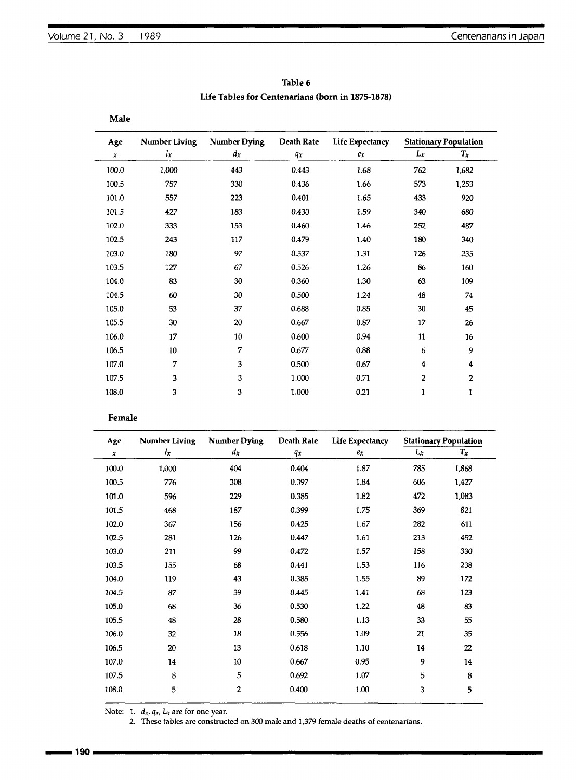| Table 6                                          |
|--------------------------------------------------|
| Life Tables for Centenarians (born in 1875-1878) |

| Age          | <b>Number Living</b> | <b>Number Dying</b> | Death Rate | <b>Life Expectancy</b> | <b>Stationary Population</b> |       |  |
|--------------|----------------------|---------------------|------------|------------------------|------------------------------|-------|--|
| $\pmb{\chi}$ | $l_x$                | $d_{x}$             | qx         | ex                     | $L_x$                        | $T_x$ |  |
| 100.0        | 1,000                | 443                 | 0.443      | 1.68                   | 762                          | 1,682 |  |
| 100.5        | 757                  | 330                 | 0.436      | 1.66                   | 573                          | 1,253 |  |
| 101.0        | 557                  | 223                 | 0.401      | 1.65                   | 433                          | 920   |  |
| 101.5        | 427                  | 183                 | 0.430      | 1.59                   | 340                          | 680   |  |
| 102.0        | 333                  | 153                 | 0.460      | 1.46                   | 252                          | 487   |  |
| 102.5        | 243                  | 117                 | 0.479      | 1.40                   | 180                          | 340   |  |
| 103.0        | 180                  | 97                  | 0.537      | 1.31                   | 126                          | 235   |  |
| 103.5        | 127                  | 67                  | 0.526      | 1.26                   | 86                           | 160   |  |
| 104.0        | 83                   | 30                  | 0.360      | 1.30                   | 63                           | 109   |  |
| 104.5        | 60                   | 30                  | 0.500      | 1.24                   | 48                           | 74    |  |
| 105.0        | 53                   | 37                  | 0.688      | 0.85                   | 30                           | 45    |  |
| 105.5        | 30                   | 20                  | 0.667      | 0.87                   | 17                           | 26    |  |
| 106.0        | 17                   | 10                  | 0.600      | 0.94                   | 11                           | 16    |  |
| 106.5        | 10                   | 7                   | 0.677      | 0.88                   | 6                            | 9     |  |
| 107.0        | 7                    | 3                   | 0.500      | 0.67                   | $\overline{\bf 4}$           | 4     |  |
| 107.5        | 3                    | 3                   | 1.000      | 0.71                   | 2                            | 2     |  |
| 108.0        | 3                    | 3                   | 1.000      | 0.21                   | 1                            | 1     |  |

## Male

**Female**

| Age   |       | <b>Number Living Number Dying</b> | Death Rate | Life Expectancy |     | <b>Stationary Population</b> |
|-------|-------|-----------------------------------|------------|-----------------|-----|------------------------------|
| x     | $l_x$ | $d_{x}$                           | qr         | ex              | Lx  | $T_x$                        |
| 100.0 | 1,000 | 404                               | 0.404      | 1.87            | 785 | 1,868                        |
| 100.5 | 776   | 308                               | 0.397      | 1.84            | 606 | 1,427                        |
| 101.0 | 596   | 229                               | 0.385      | 1.82            | 472 | 1,083                        |
| 101.5 | 468   | 187                               | 0.399      | 1.75            | 369 | 821                          |
| 102.0 | 367   | 156                               | 0.425      | 1.67            | 282 | 611                          |
| 102.5 | 281   | 126                               | 0.447      | 1.61            | 213 | 452                          |
| 103.0 | 211   | 99                                | 0.472      | 1.57            | 158 | 330                          |
| 103.5 | 155   | 68                                | 0.441      | 1.53            | 116 | 238                          |
| 104.0 | 119   | 43                                | 0.385      | 1.55            | 89  | 172                          |
| 104.5 | 87    | 39                                | 0.445      | 1.41            | 68  | 123                          |
| 105.0 | 68    | 36                                | 0.530      | 1.22            | 48  | 83                           |
| 105.5 | 48    | 28                                | 0.580      | 1.13            | 33  | 55                           |
| 106.0 | 32    | 18                                | 0.556      | 1.09            | 21  | 35                           |
| 106.5 | 20    | 13                                | 0.618      | 1.10            | 14  | 22                           |
| 107.0 | 14    | 10                                | 0.667      | 0.95            | 9   | 14                           |
| 107.5 | 8     | 5                                 | 0.692      | 1.07            | 5   | 8                            |
| 108.0 | 5     | 2                                 | 0.400      | 1.00            | 3   | 5                            |

Note: 1. *dx, qx, Lx* are for one year.

2. These tables are constructed on 300 male and 1,379 female deaths of centenarians.